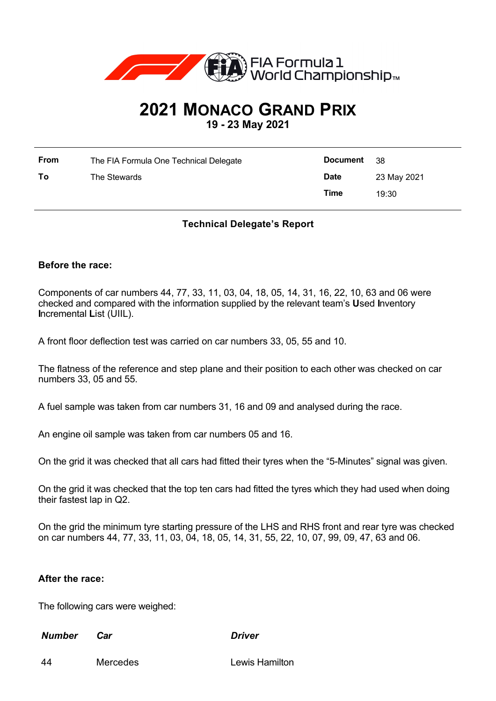

# **2021 MONACO GRAND PRIX**

**19 - 23 May 2021**

| From | The FIA Formula One Technical Delegate | <b>Document</b> | - 38        |
|------|----------------------------------------|-----------------|-------------|
| To   | The Stewards                           | <b>Date</b>     | 23 May 2021 |
|      |                                        | Time            | 19:30       |

## **Technical Delegate's Report**

#### **Before the race:**

Components of car numbers 44, 77, 33, 11, 03, 04, 18, 05, 14, 31, 16, 22, 10, 63 and 06 were checked and compared with the information supplied by the relevant team's **U**sed **I**nventory **I**ncremental **L**ist (UIIL).

A front floor deflection test was carried on car numbers 33, 05, 55 and 10.

The flatness of the reference and step plane and their position to each other was checked on car numbers 33, 05 and 55.

A fuel sample was taken from car numbers 31, 16 and 09 and analysed during the race.

An engine oil sample was taken from car numbers 05 and 16.

On the grid it was checked that all cars had fitted their tyres when the "5-Minutes" signal was given.

On the grid it was checked that the top ten cars had fitted the tyres which they had used when doing their fastest lap in Q2.

On the grid the minimum tyre starting pressure of the LHS and RHS front and rear tyre was checked on car numbers 44, 77, 33, 11, 03, 04, 18, 05, 14, 31, 55, 22, 10, 07, 99, 09, 47, 63 and 06.

### **After the race:**

The following cars were weighed:

*Number Car Driver*

44 Mercedes Lewis Hamilton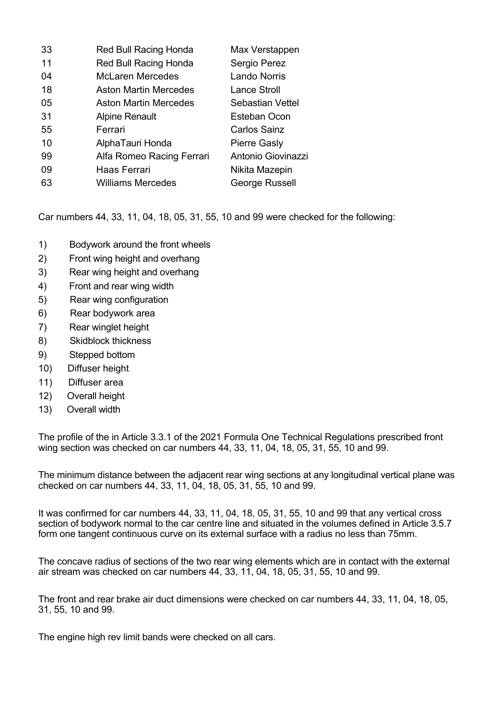| 33 | <b>Red Bull Racing Honda</b> | Max Verstappen      |
|----|------------------------------|---------------------|
| 11 | <b>Red Bull Racing Honda</b> | Sergio Perez        |
| 04 | <b>McLaren Mercedes</b>      | <b>Lando Norris</b> |
| 18 | <b>Aston Martin Mercedes</b> | Lance Stroll        |
| 05 | <b>Aston Martin Mercedes</b> | Sebastian Vettel    |
| 31 | <b>Alpine Renault</b>        | Esteban Ocon        |
| 55 | Ferrari                      | <b>Carlos Sainz</b> |
| 10 | AlphaTauri Honda             | <b>Pierre Gasly</b> |
| 99 | Alfa Romeo Racing Ferrari    | Antonio Giovinazzi  |
| 09 | Haas Ferrari                 | Nikita Mazepin      |
| 63 | <b>Williams Mercedes</b>     | George Russell      |

Car numbers 44, 33, 11, 04, 18, 05, 31, 55, 10 and 99 were checked for the following:

- 1) Bodywork around the front wheels
- 2) Front wing height and overhang
- 3) Rear wing height and overhang
- 4) Front and rear wing width
- 5) Rear wing configuration
- 6) Rear bodywork area
- 7) Rear winglet height
- 8) Skidblock thickness
- 9) Stepped bottom
- 10) Diffuser height
- 11) Diffuser area
- 12) Overall height
- 13) Overall width

The profile of the in Article 3.3.1 of the 2021 Formula One Technical Regulations prescribed front wing section was checked on car numbers 44, 33, 11, 04, 18, 05, 31, 55, 10 and 99.

The minimum distance between the adjacent rear wing sections at any longitudinal vertical plane was checked on car numbers 44, 33, 11, 04, 18, 05, 31, 55, 10 and 99.

It was confirmed for car numbers 44, 33, 11, 04, 18, 05, 31, 55, 10 and 99 that any vertical cross section of bodywork normal to the car centre line and situated in the volumes defined in Article 3.5.7 form one tangent continuous curve on its external surface with a radius no less than 75mm.

The concave radius of sections of the two rear wing elements which are in contact with the external air stream was checked on car numbers 44, 33, 11, 04, 18, 05, 31, 55, 10 and 99.

The front and rear brake air duct dimensions were checked on car numbers 44, 33, 11, 04, 18, 05, 31, 55, 10 and 99.

The engine high rev limit bands were checked on all cars.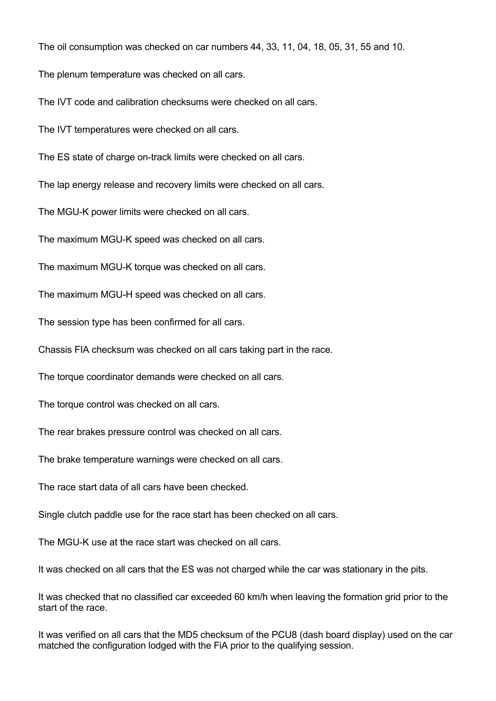The oil consumption was checked on car numbers 44, 33, 11, 04, 18, 05, 31, 55 and 10.

The plenum temperature was checked on all cars.

The IVT code and calibration checksums were checked on all cars.

The IVT temperatures were checked on all cars.

The ES state of charge on-track limits were checked on all cars.

The lap energy release and recovery limits were checked on all cars.

The MGU-K power limits were checked on all cars.

The maximum MGU-K speed was checked on all cars.

The maximum MGU-K torque was checked on all cars.

The maximum MGU-H speed was checked on all cars.

The session type has been confirmed for all cars.

Chassis FIA checksum was checked on all cars taking part in the race.

The torque coordinator demands were checked on all cars.

The torque control was checked on all cars.

The rear brakes pressure control was checked on all cars.

The brake temperature warnings were checked on all cars.

The race start data of all cars have been checked.

Single clutch paddle use for the race start has been checked on all cars.

The MGU-K use at the race start was checked on all cars.

It was checked on all cars that the ES was not charged while the car was stationary in the pits.

It was checked that no classified car exceeded 60 km/h when leaving the formation grid prior to the start of the race.

It was verified on all cars that the MD5 checksum of the PCU8 (dash board display) used on the car matched the configuration lodged with the FiA prior to the qualifying session.